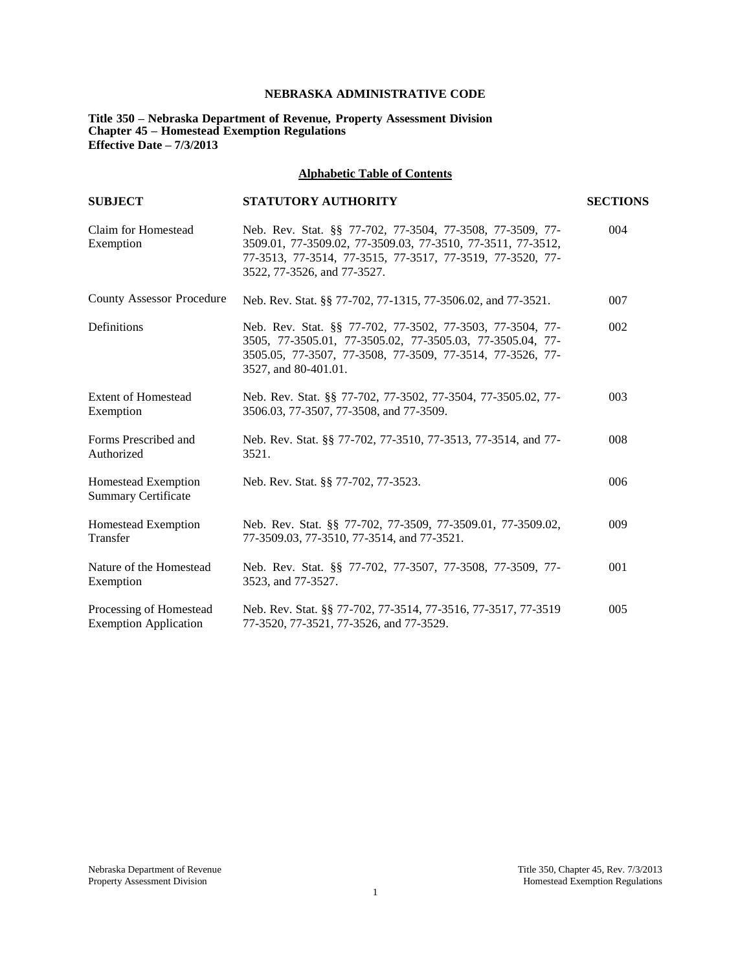# **NEBRASKA ADMINISTRATIVE CODE**

**Title 350 – Nebraska Department of Revenue, Property Assessment Division Chapter 45 – Homestead Exemption Regulations Effective Date – 7/3/2013**

# **Alphabetic Table of Contents**

| <b>SUBJECT</b>                                          | <b>STATUTORY AUTHORITY</b>                                                                                                                                                                                           | <b>SECTIONS</b> |
|---------------------------------------------------------|----------------------------------------------------------------------------------------------------------------------------------------------------------------------------------------------------------------------|-----------------|
| Claim for Homestead<br>Exemption                        | Neb. Rev. Stat. §§ 77-702, 77-3504, 77-3508, 77-3509, 77-<br>3509.01, 77-3509.02, 77-3509.03, 77-3510, 77-3511, 77-3512,<br>77-3513, 77-3514, 77-3515, 77-3517, 77-3519, 77-3520, 77-<br>3522, 77-3526, and 77-3527. | 004             |
| <b>County Assessor Procedure</b>                        | Neb. Rev. Stat. §§ 77-702, 77-1315, 77-3506.02, and 77-3521.                                                                                                                                                         | 007             |
| Definitions                                             | Neb. Rev. Stat. §§ 77-702, 77-3502, 77-3503, 77-3504, 77-<br>3505, 77-3505.01, 77-3505.02, 77-3505.03, 77-3505.04, 77-<br>3505.05, 77-3507, 77-3508, 77-3509, 77-3514, 77-3526, 77-<br>3527, and 80-401.01.          | 002             |
| <b>Extent of Homestead</b><br>Exemption                 | Neb. Rev. Stat. §§ 77-702, 77-3502, 77-3504, 77-3505.02, 77-<br>3506.03, 77-3507, 77-3508, and 77-3509.                                                                                                              | 003             |
| Forms Prescribed and<br>Authorized                      | Neb. Rev. Stat. §§ 77-702, 77-3510, 77-3513, 77-3514, and 77-<br>3521.                                                                                                                                               | 008             |
| Homestead Exemption<br><b>Summary Certificate</b>       | Neb. Rev. Stat. §§ 77-702, 77-3523.                                                                                                                                                                                  | 006             |
| Homestead Exemption<br>Transfer                         | Neb. Rev. Stat. §§ 77-702, 77-3509, 77-3509.01, 77-3509.02,<br>77-3509.03, 77-3510, 77-3514, and 77-3521.                                                                                                            | 009             |
| Nature of the Homestead<br>Exemption                    | Neb. Rev. Stat. §§ 77-702, 77-3507, 77-3508, 77-3509, 77-<br>3523, and 77-3527.                                                                                                                                      | 001             |
| Processing of Homestead<br><b>Exemption Application</b> | Neb. Rev. Stat. §§ 77-702, 77-3514, 77-3516, 77-3517, 77-3519<br>77-3520, 77-3521, 77-3526, and 77-3529.                                                                                                             | 005             |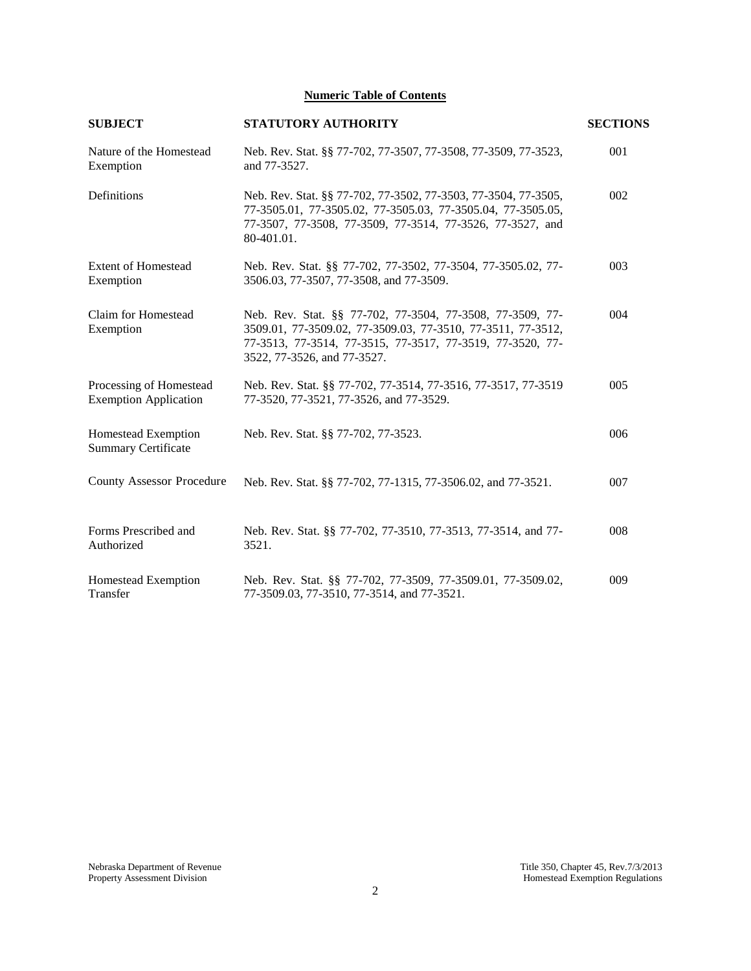# **Numeric Table of Contents**

| <b>SUBJECT</b>                                          | <b>STATUTORY AUTHORITY</b>                                                                                                                                                                                           | <b>SECTIONS</b> |
|---------------------------------------------------------|----------------------------------------------------------------------------------------------------------------------------------------------------------------------------------------------------------------------|-----------------|
| Nature of the Homestead<br>Exemption                    | Neb. Rev. Stat. §§ 77-702, 77-3507, 77-3508, 77-3509, 77-3523,<br>and 77-3527.                                                                                                                                       | 001             |
| Definitions                                             | Neb. Rev. Stat. §§ 77-702, 77-3502, 77-3503, 77-3504, 77-3505,<br>77-3505.01, 77-3505.02, 77-3505.03, 77-3505.04, 77-3505.05,<br>77-3507, 77-3508, 77-3509, 77-3514, 77-3526, 77-3527, and<br>80-401.01.             | 002             |
| <b>Extent of Homestead</b><br>Exemption                 | Neb. Rev. Stat. §§ 77-702, 77-3502, 77-3504, 77-3505.02, 77-<br>3506.03, 77-3507, 77-3508, and 77-3509.                                                                                                              | 003             |
| Claim for Homestead<br>Exemption                        | Neb. Rev. Stat. §§ 77-702, 77-3504, 77-3508, 77-3509, 77-<br>3509.01, 77-3509.02, 77-3509.03, 77-3510, 77-3511, 77-3512,<br>77-3513, 77-3514, 77-3515, 77-3517, 77-3519, 77-3520, 77-<br>3522, 77-3526, and 77-3527. | 004             |
| Processing of Homestead<br><b>Exemption Application</b> | Neb. Rev. Stat. §§ 77-702, 77-3514, 77-3516, 77-3517, 77-3519<br>77-3520, 77-3521, 77-3526, and 77-3529.                                                                                                             | 005             |
| Homestead Exemption<br><b>Summary Certificate</b>       | Neb. Rev. Stat. §§ 77-702, 77-3523.                                                                                                                                                                                  | 006             |
| <b>County Assessor Procedure</b>                        | Neb. Rev. Stat. §§ 77-702, 77-1315, 77-3506.02, and 77-3521.                                                                                                                                                         | 007             |
| Forms Prescribed and<br>Authorized                      | Neb. Rev. Stat. §§ 77-702, 77-3510, 77-3513, 77-3514, and 77-<br>3521.                                                                                                                                               | 008             |
| Homestead Exemption<br>Transfer                         | Neb. Rev. Stat. §§ 77-702, 77-3509, 77-3509.01, 77-3509.02,<br>77-3509.03, 77-3510, 77-3514, and 77-3521.                                                                                                            | 009             |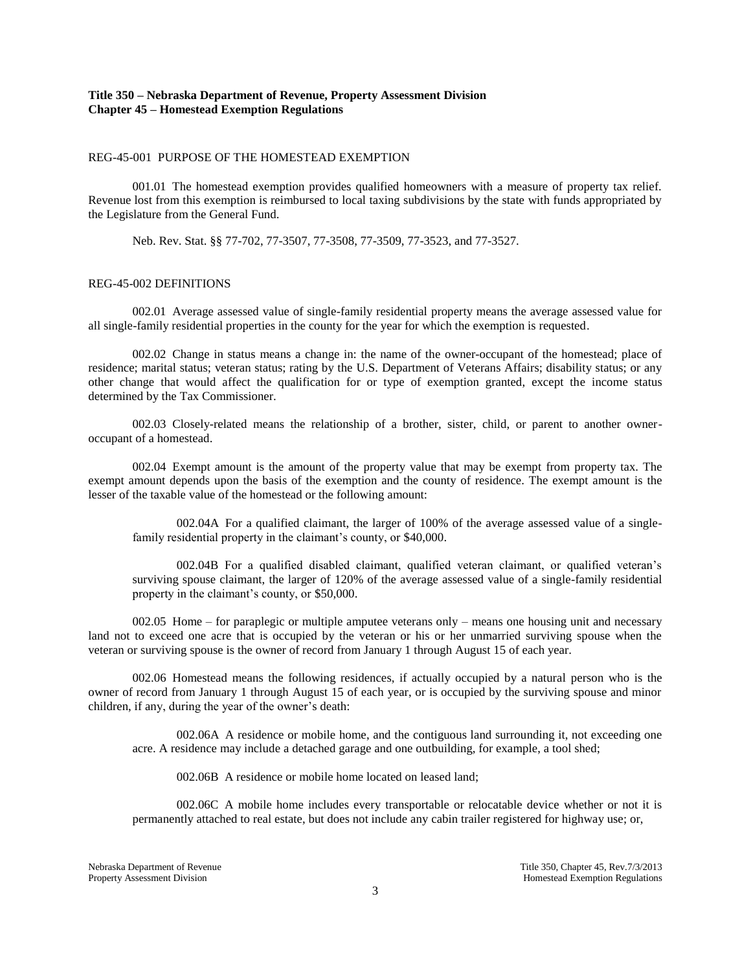# **Title 350 – Nebraska Department of Revenue, Property Assessment Division Chapter 45 – Homestead Exemption Regulations**

#### REG-45-001 PURPOSE OF THE HOMESTEAD EXEMPTION

001.01 The homestead exemption provides qualified homeowners with a measure of property tax relief. Revenue lost from this exemption is reimbursed to local taxing subdivisions by the state with funds appropriated by the Legislature from the General Fund.

Neb. Rev. Stat. §§ 77-702, 77-3507, 77-3508, 77-3509, 77-3523, and 77-3527.

### REG-45-002 DEFINITIONS

002.01 Average assessed value of single-family residential property means the average assessed value for all single-family residential properties in the county for the year for which the exemption is requested.

002.02 Change in status means a change in: the name of the owner-occupant of the homestead; place of residence; marital status; veteran status; rating by the U.S. Department of Veterans Affairs; disability status; or any other change that would affect the qualification for or type of exemption granted, except the income status determined by the Tax Commissioner.

002.03 Closely-related means the relationship of a brother, sister, child, or parent to another owneroccupant of a homestead.

002.04 Exempt amount is the amount of the property value that may be exempt from property tax. The exempt amount depends upon the basis of the exemption and the county of residence. The exempt amount is the lesser of the taxable value of the homestead or the following amount:

002.04A For a qualified claimant, the larger of 100% of the average assessed value of a singlefamily residential property in the claimant's county, or \$40,000.

002.04B For a qualified disabled claimant, qualified veteran claimant, or qualified veteran's surviving spouse claimant, the larger of 120% of the average assessed value of a single-family residential property in the claimant's county, or \$50,000.

002.05 Home – for paraplegic or multiple amputee veterans only – means one housing unit and necessary land not to exceed one acre that is occupied by the veteran or his or her unmarried surviving spouse when the veteran or surviving spouse is the owner of record from January 1 through August 15 of each year.

002.06 Homestead means the following residences, if actually occupied by a natural person who is the owner of record from January 1 through August 15 of each year, or is occupied by the surviving spouse and minor children, if any, during the year of the owner's death:

002.06A A residence or mobile home, and the contiguous land surrounding it, not exceeding one acre. A residence may include a detached garage and one outbuilding, for example, a tool shed;

002.06B A residence or mobile home located on leased land;

002.06C A mobile home includes every transportable or relocatable device whether or not it is permanently attached to real estate, but does not include any cabin trailer registered for highway use; or,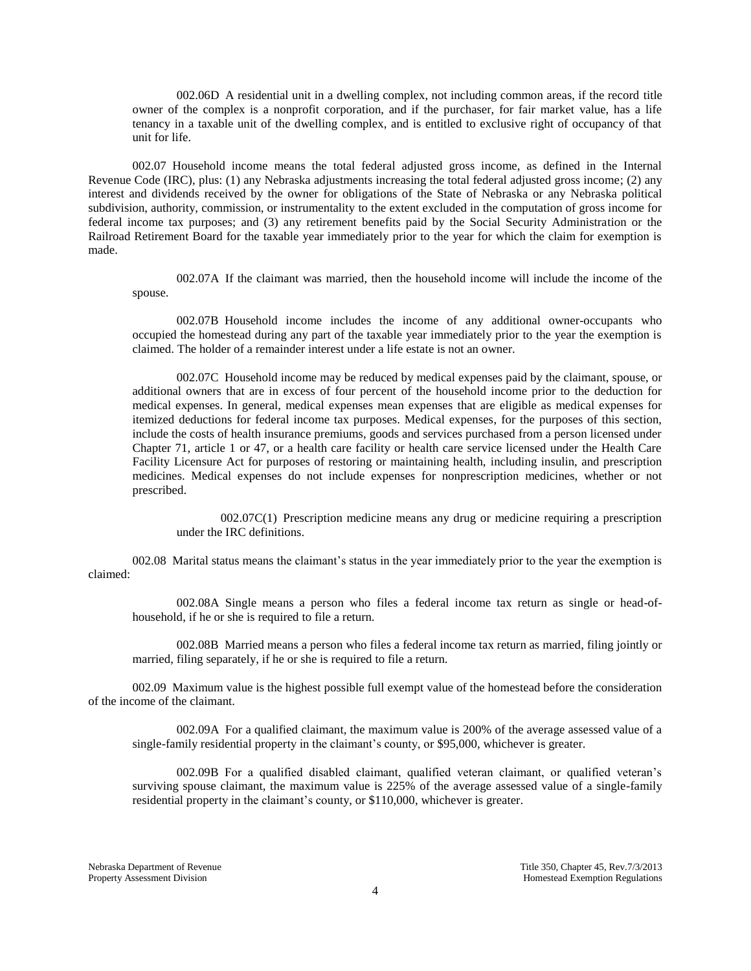002.06D A residential unit in a dwelling complex, not including common areas, if the record title owner of the complex is a nonprofit corporation, and if the purchaser, for fair market value, has a life tenancy in a taxable unit of the dwelling complex, and is entitled to exclusive right of occupancy of that unit for life.

002.07 Household income means the total federal adjusted gross income, as defined in the Internal Revenue Code (IRC), plus: (1) any Nebraska adjustments increasing the total federal adjusted gross income; (2) any interest and dividends received by the owner for obligations of the State of Nebraska or any Nebraska political subdivision, authority, commission, or instrumentality to the extent excluded in the computation of gross income for federal income tax purposes; and (3) any retirement benefits paid by the Social Security Administration or the Railroad Retirement Board for the taxable year immediately prior to the year for which the claim for exemption is made.

002.07A If the claimant was married, then the household income will include the income of the spouse.

002.07B Household income includes the income of any additional owner-occupants who occupied the homestead during any part of the taxable year immediately prior to the year the exemption is claimed. The holder of a remainder interest under a life estate is not an owner.

002.07C Household income may be reduced by medical expenses paid by the claimant, spouse, or additional owners that are in excess of four percent of the household income prior to the deduction for medical expenses. In general, medical expenses mean expenses that are eligible as medical expenses for itemized deductions for federal income tax purposes. Medical expenses, for the purposes of this section, include the costs of health insurance premiums, goods and services purchased from a person licensed under Chapter 71, article 1 or 47, or a health care facility or health care service licensed under the Health Care Facility Licensure Act for purposes of restoring or maintaining health, including insulin, and prescription medicines. Medical expenses do not include expenses for nonprescription medicines, whether or not prescribed.

002.07C(1) Prescription medicine means any drug or medicine requiring a prescription under the IRC definitions.

002.08 Marital status means the claimant's status in the year immediately prior to the year the exemption is claimed:

002.08A Single means a person who files a federal income tax return as single or head-ofhousehold, if he or she is required to file a return.

002.08B Married means a person who files a federal income tax return as married, filing jointly or married, filing separately, if he or she is required to file a return.

002.09 Maximum value is the highest possible full exempt value of the homestead before the consideration of the income of the claimant.

002.09A For a qualified claimant, the maximum value is 200% of the average assessed value of a single-family residential property in the claimant's county, or \$95,000, whichever is greater.

002.09B For a qualified disabled claimant, qualified veteran claimant, or qualified veteran's surviving spouse claimant, the maximum value is 225% of the average assessed value of a single-family residential property in the claimant's county, or \$110,000, whichever is greater.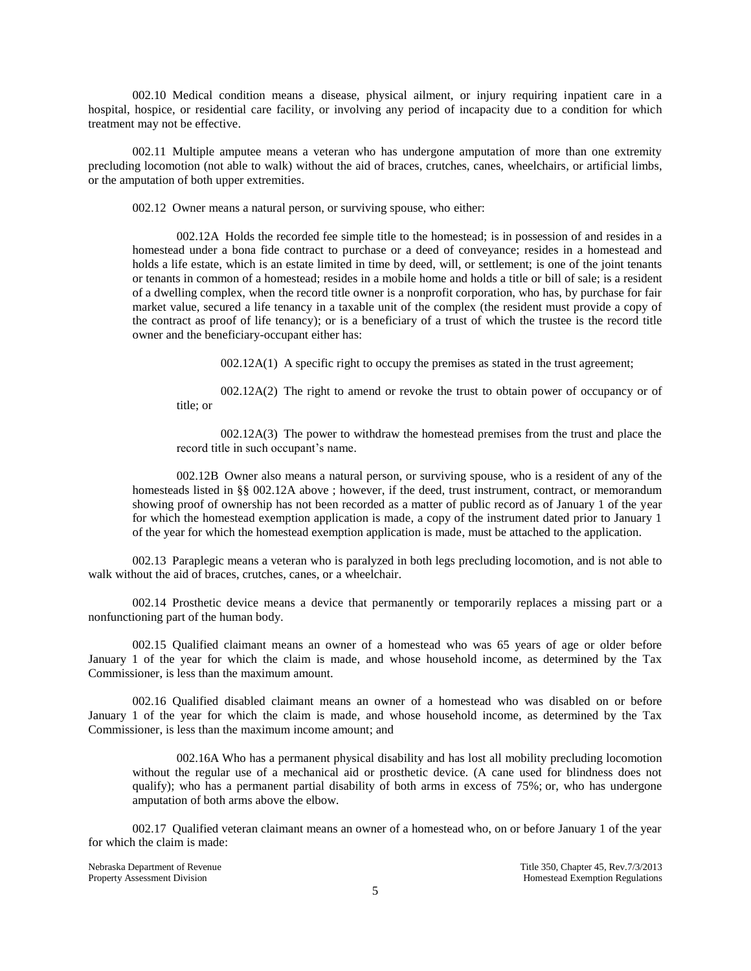002.10 Medical condition means a disease, physical ailment, or injury requiring inpatient care in a hospital, hospice, or residential care facility, or involving any period of incapacity due to a condition for which treatment may not be effective.

002.11 Multiple amputee means a veteran who has undergone amputation of more than one extremity precluding locomotion (not able to walk) without the aid of braces, crutches, canes, wheelchairs, or artificial limbs, or the amputation of both upper extremities.

002.12 Owner means a natural person, or surviving spouse, who either:

002.12A Holds the recorded fee simple title to the homestead; is in possession of and resides in a homestead under a bona fide contract to purchase or a deed of conveyance; resides in a homestead and holds a life estate, which is an estate limited in time by deed, will, or settlement; is one of the joint tenants or tenants in common of a homestead; resides in a mobile home and holds a title or bill of sale; is a resident of a dwelling complex, when the record title owner is a nonprofit corporation, who has, by purchase for fair market value, secured a life tenancy in a taxable unit of the complex (the resident must provide a copy of the contract as proof of life tenancy); or is a beneficiary of a trust of which the trustee is the record title owner and the beneficiary-occupant either has:

002.12A(1) A specific right to occupy the premises as stated in the trust agreement;

002.12A(2) The right to amend or revoke the trust to obtain power of occupancy or of title; or

002.12A(3) The power to withdraw the homestead premises from the trust and place the record title in such occupant's name.

002.12B Owner also means a natural person, or surviving spouse, who is a resident of any of the homesteads listed in §§ 002.12A above ; however, if the deed, trust instrument, contract, or memorandum showing proof of ownership has not been recorded as a matter of public record as of January 1 of the year for which the homestead exemption application is made, a copy of the instrument dated prior to January 1 of the year for which the homestead exemption application is made, must be attached to the application.

002.13 Paraplegic means a veteran who is paralyzed in both legs precluding locomotion, and is not able to walk without the aid of braces, crutches, canes, or a wheelchair.

002.14 Prosthetic device means a device that permanently or temporarily replaces a missing part or a nonfunctioning part of the human body.

002.15 Qualified claimant means an owner of a homestead who was 65 years of age or older before January 1 of the year for which the claim is made, and whose household income, as determined by the Tax Commissioner, is less than the maximum amount.

002.16 Qualified disabled claimant means an owner of a homestead who was disabled on or before January 1 of the year for which the claim is made, and whose household income, as determined by the Tax Commissioner, is less than the maximum income amount; and

002.16A Who has a permanent physical disability and has lost all mobility precluding locomotion without the regular use of a mechanical aid or prosthetic device. (A cane used for blindness does not qualify); who has a permanent partial disability of both arms in excess of 75%; or, who has undergone amputation of both arms above the elbow.

002.17 Qualified veteran claimant means an owner of a homestead who, on or before January 1 of the year for which the claim is made:

Nebraska Department of Revenue Title 350, Chapter 45, Rev.7/3/2013<br>Property Assessment Division and Title 350, Chapter 45, Rev.7/3/2013 Homestead Exemption Regulations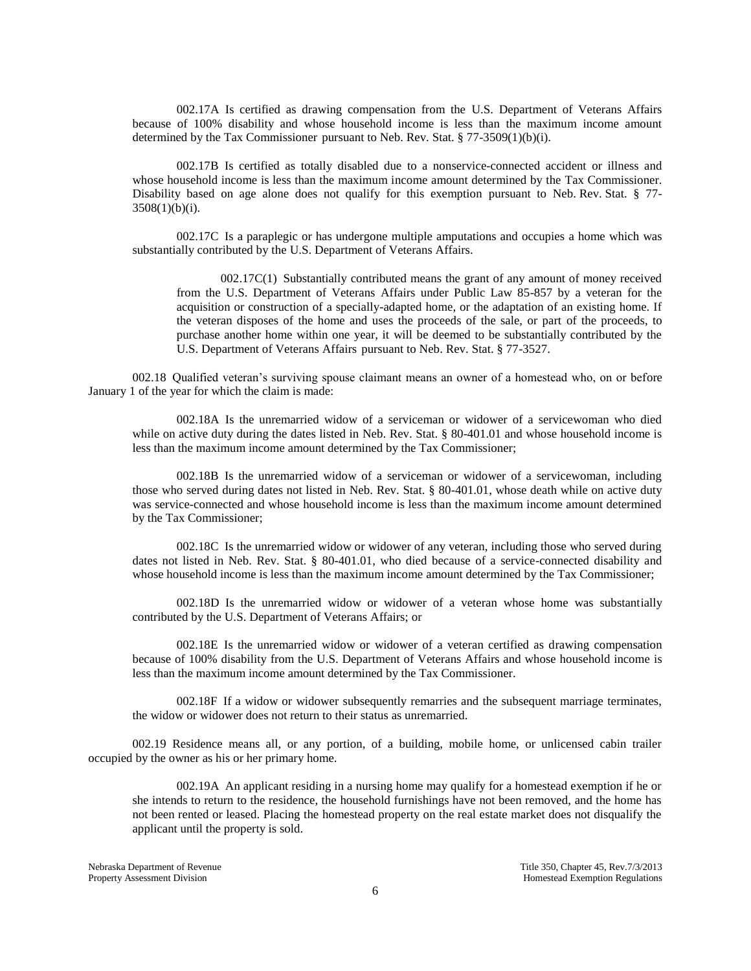002.17A Is certified as drawing compensation from the U.S. Department of Veterans Affairs because of 100% disability and whose household income is less than the maximum income amount determined by the Tax Commissioner pursuant to Neb. Rev. Stat. § 77-3509(1)(b)(i).

002.17B Is certified as totally disabled due to a nonservice-connected accident or illness and whose household income is less than the maximum income amount determined by the Tax Commissioner. Disability based on age alone does not qualify for this exemption pursuant to Neb. Rev. Stat. § 77-  $3508(1)(b)(i)$ .

002.17C Is a paraplegic or has undergone multiple amputations and occupies a home which was substantially contributed by the U.S. Department of Veterans Affairs.

002.17C(1) Substantially contributed means the grant of any amount of money received from the U.S. Department of Veterans Affairs under Public Law 85-857 by a veteran for the acquisition or construction of a specially-adapted home, or the adaptation of an existing home. If the veteran disposes of the home and uses the proceeds of the sale, or part of the proceeds, to purchase another home within one year, it will be deemed to be substantially contributed by the U.S. Department of Veterans Affairs pursuant to Neb. Rev. Stat. § 77-3527.

002.18 Qualified veteran's surviving spouse claimant means an owner of a homestead who, on or before January 1 of the year for which the claim is made:

002.18A Is the unremarried widow of a serviceman or widower of a servicewoman who died while on active duty during the dates listed in Neb. Rev. Stat. § 80-401.01 and whose household income is less than the maximum income amount determined by the Tax Commissioner;

002.18B Is the unremarried widow of a serviceman or widower of a servicewoman, including those who served during dates not listed in Neb. Rev. Stat. § 80-401.01, whose death while on active duty was service-connected and whose household income is less than the maximum income amount determined by the Tax Commissioner;

002.18C Is the unremarried widow or widower of any veteran, including those who served during dates not listed in Neb. Rev. Stat. § 80-401.01, who died because of a service-connected disability and whose household income is less than the maximum income amount determined by the Tax Commissioner;

002.18D Is the unremarried widow or widower of a veteran whose home was substantially contributed by the U.S. Department of Veterans Affairs; or

002.18E Is the unremarried widow or widower of a veteran certified as drawing compensation because of 100% disability from the U.S. Department of Veterans Affairs and whose household income is less than the maximum income amount determined by the Tax Commissioner.

002.18F If a widow or widower subsequently remarries and the subsequent marriage terminates, the widow or widower does not return to their status as unremarried.

002.19 Residence means all, or any portion, of a building, mobile home, or unlicensed cabin trailer occupied by the owner as his or her primary home.

002.19A An applicant residing in a nursing home may qualify for a homestead exemption if he or she intends to return to the residence, the household furnishings have not been removed, and the home has not been rented or leased. Placing the homestead property on the real estate market does not disqualify the applicant until the property is sold.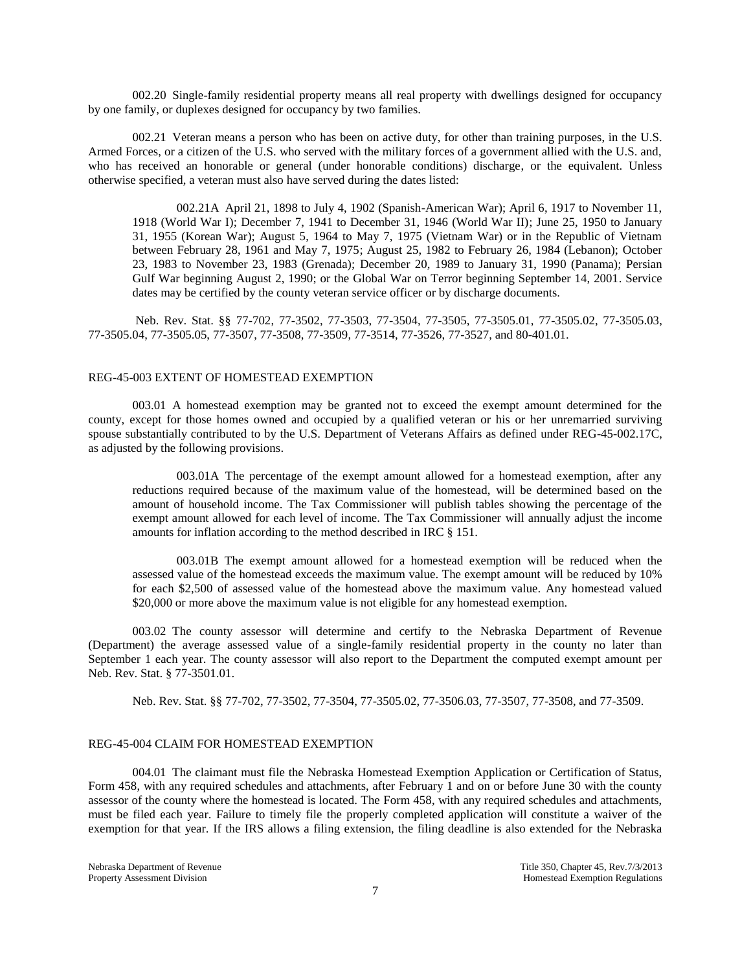002.20 Single-family residential property means all real property with dwellings designed for occupancy by one family, or duplexes designed for occupancy by two families.

002.21 Veteran means a person who has been on active duty, for other than training purposes, in the U.S. Armed Forces, or a citizen of the U.S. who served with the military forces of a government allied with the U.S. and, who has received an honorable or general (under honorable conditions) discharge, or the equivalent. Unless otherwise specified, a veteran must also have served during the dates listed:

002.21A April 21, 1898 to July 4, 1902 (Spanish-American War); April 6, 1917 to November 11, 1918 (World War I); December 7, 1941 to December 31, 1946 (World War II); June 25, 1950 to January 31, 1955 (Korean War); August 5, 1964 to May 7, 1975 (Vietnam War) or in the Republic of Vietnam between February 28, 1961 and May 7, 1975; August 25, 1982 to February 26, 1984 (Lebanon); October 23, 1983 to November 23, 1983 (Grenada); December 20, 1989 to January 31, 1990 (Panama); Persian Gulf War beginning August 2, 1990; or the Global War on Terror beginning September 14, 2001. Service dates may be certified by the county veteran service officer or by discharge documents.

Neb. Rev. Stat. §§ 77-702, 77-3502, 77-3503, 77-3504, 77-3505, 77-3505.01, 77-3505.02, 77-3505.03, 77-3505.04, 77-3505.05, 77-3507, 77-3508, 77-3509, 77-3514, 77-3526, 77-3527, and 80-401.01.

#### REG-45-003 EXTENT OF HOMESTEAD EXEMPTION

003.01 A homestead exemption may be granted not to exceed the exempt amount determined for the county, except for those homes owned and occupied by a qualified veteran or his or her unremarried surviving spouse substantially contributed to by the U.S. Department of Veterans Affairs as defined under REG-45-002.17C, as adjusted by the following provisions.

003.01A The percentage of the exempt amount allowed for a homestead exemption, after any reductions required because of the maximum value of the homestead, will be determined based on the amount of household income. The Tax Commissioner will publish tables showing the percentage of the exempt amount allowed for each level of income. The Tax Commissioner will annually adjust the income amounts for inflation according to the method described in IRC § 151.

003.01B The exempt amount allowed for a homestead exemption will be reduced when the assessed value of the homestead exceeds the maximum value. The exempt amount will be reduced by 10% for each \$2,500 of assessed value of the homestead above the maximum value. Any homestead valued \$20,000 or more above the maximum value is not eligible for any homestead exemption.

003.02 The county assessor will determine and certify to the Nebraska Department of Revenue (Department) the average assessed value of a single-family residential property in the county no later than September 1 each year. The county assessor will also report to the Department the computed exempt amount per Neb. Rev. Stat. § 77-3501.01.

Neb. Rev. Stat. §§ 77-702, 77-3502, 77-3504, 77-3505.02, 77-3506.03, 77-3507, 77-3508, and 77-3509.

#### REG-45-004 CLAIM FOR HOMESTEAD EXEMPTION

004.01 The claimant must file the Nebraska Homestead Exemption Application or Certification of Status, Form 458, with any required schedules and attachments, after February 1 and on or before June 30 with the county assessor of the county where the homestead is located. The Form 458, with any required schedules and attachments, must be filed each year. Failure to timely file the properly completed application will constitute a waiver of the exemption for that year. If the IRS allows a filing extension, the filing deadline is also extended for the Nebraska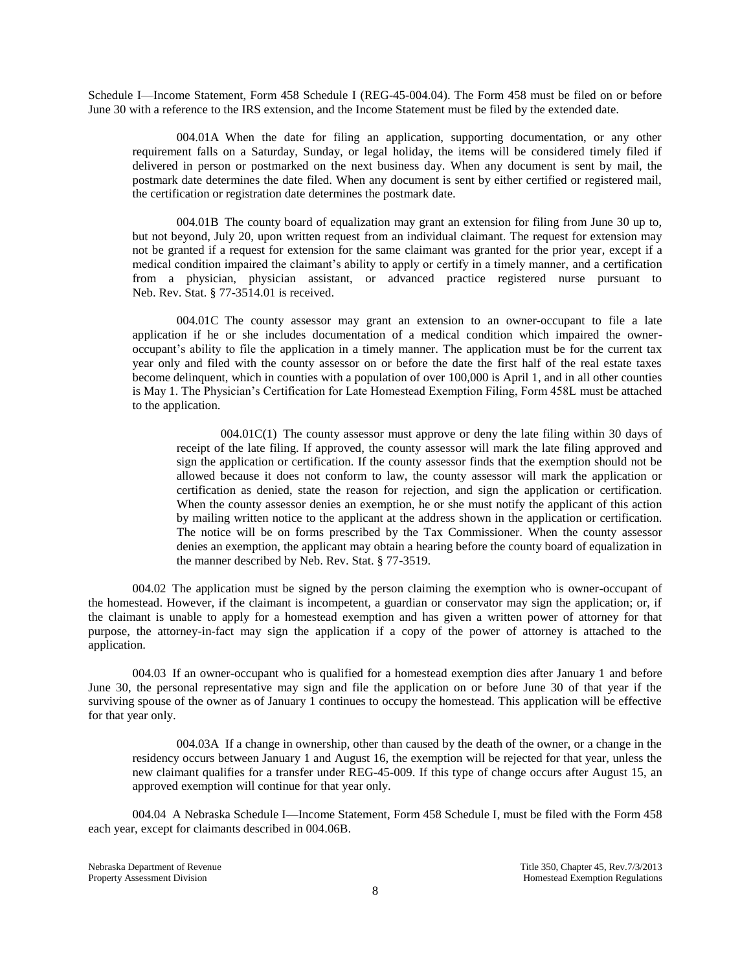Schedule I—Income Statement, Form 458 Schedule I (REG-45-004.04). The Form 458 must be filed on or before June 30 with a reference to the IRS extension, and the Income Statement must be filed by the extended date.

004.01A When the date for filing an application, supporting documentation, or any other requirement falls on a Saturday, Sunday, or legal holiday, the items will be considered timely filed if delivered in person or postmarked on the next business day. When any document is sent by mail, the postmark date determines the date filed. When any document is sent by either certified or registered mail, the certification or registration date determines the postmark date.

004.01B The county board of equalization may grant an extension for filing from June 30 up to, but not beyond, July 20, upon written request from an individual claimant. The request for extension may not be granted if a request for extension for the same claimant was granted for the prior year, except if a medical condition impaired the claimant's ability to apply or certify in a timely manner, and a certification from a physician, physician assistant, or advanced practice registered nurse pursuant to Neb. Rev. Stat. § 77-3514.01 is received.

004.01C The county assessor may grant an extension to an owner-occupant to file a late application if he or she includes documentation of a medical condition which impaired the owneroccupant's ability to file the application in a timely manner. The application must be for the current tax year only and filed with the county assessor on or before the date the first half of the real estate taxes become delinquent, which in counties with a population of over 100,000 is April 1, and in all other counties is May 1. The Physician's Certification for Late Homestead Exemption Filing, Form 458L must be attached to the application.

004.01C(1) The county assessor must approve or deny the late filing within 30 days of receipt of the late filing. If approved, the county assessor will mark the late filing approved and sign the application or certification. If the county assessor finds that the exemption should not be allowed because it does not conform to law, the county assessor will mark the application or certification as denied, state the reason for rejection, and sign the application or certification. When the county assessor denies an exemption, he or she must notify the applicant of this action by mailing written notice to the applicant at the address shown in the application or certification. The notice will be on forms prescribed by the Tax Commissioner. When the county assessor denies an exemption, the applicant may obtain a hearing before the county board of equalization in the manner described by Neb. Rev. Stat. § 77-3519.

004.02 The application must be signed by the person claiming the exemption who is owner-occupant of the homestead. However, if the claimant is incompetent, a guardian or conservator may sign the application; or, if the claimant is unable to apply for a homestead exemption and has given a written power of attorney for that purpose, the attorney-in-fact may sign the application if a copy of the power of attorney is attached to the application.

004.03 If an owner-occupant who is qualified for a homestead exemption dies after January 1 and before June 30, the personal representative may sign and file the application on or before June 30 of that year if the surviving spouse of the owner as of January 1 continues to occupy the homestead. This application will be effective for that year only.

004.03A If a change in ownership, other than caused by the death of the owner, or a change in the residency occurs between January 1 and August 16, the exemption will be rejected for that year, unless the new claimant qualifies for a transfer under REG-45-009. If this type of change occurs after August 15, an approved exemption will continue for that year only.

004.04 A Nebraska Schedule I—Income Statement, Form 458 Schedule I, must be filed with the Form 458 each year, except for claimants described in 004.06B.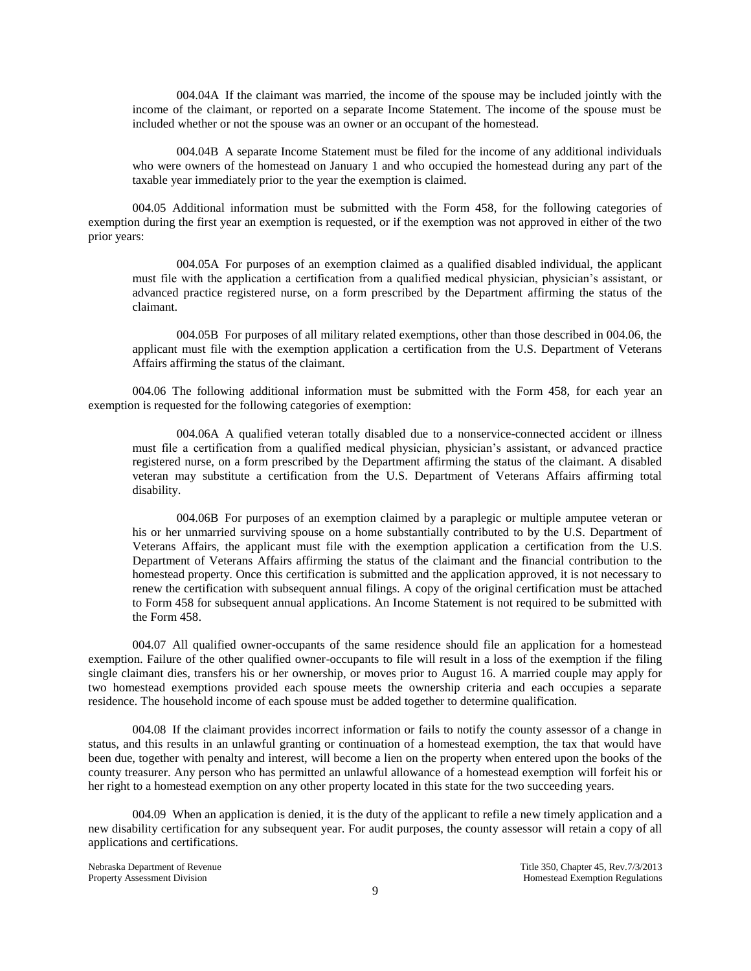004.04A If the claimant was married, the income of the spouse may be included jointly with the income of the claimant, or reported on a separate Income Statement. The income of the spouse must be included whether or not the spouse was an owner or an occupant of the homestead.

004.04B A separate Income Statement must be filed for the income of any additional individuals who were owners of the homestead on January 1 and who occupied the homestead during any part of the taxable year immediately prior to the year the exemption is claimed.

004.05 Additional information must be submitted with the Form 458, for the following categories of exemption during the first year an exemption is requested, or if the exemption was not approved in either of the two prior years:

004.05A For purposes of an exemption claimed as a qualified disabled individual, the applicant must file with the application a certification from a qualified medical physician, physician's assistant, or advanced practice registered nurse, on a form prescribed by the Department affirming the status of the claimant.

004.05B For purposes of all military related exemptions, other than those described in 004.06, the applicant must file with the exemption application a certification from the U.S. Department of Veterans Affairs affirming the status of the claimant.

004.06 The following additional information must be submitted with the Form 458, for each year an exemption is requested for the following categories of exemption:

004.06A A qualified veteran totally disabled due to a nonservice-connected accident or illness must file a certification from a qualified medical physician, physician's assistant, or advanced practice registered nurse, on a form prescribed by the Department affirming the status of the claimant. A disabled veteran may substitute a certification from the U.S. Department of Veterans Affairs affirming total disability.

004.06B For purposes of an exemption claimed by a paraplegic or multiple amputee veteran or his or her unmarried surviving spouse on a home substantially contributed to by the U.S. Department of Veterans Affairs, the applicant must file with the exemption application a certification from the U.S. Department of Veterans Affairs affirming the status of the claimant and the financial contribution to the homestead property. Once this certification is submitted and the application approved, it is not necessary to renew the certification with subsequent annual filings. A copy of the original certification must be attached to Form 458 for subsequent annual applications. An Income Statement is not required to be submitted with the Form 458.

004.07 All qualified owner-occupants of the same residence should file an application for a homestead exemption. Failure of the other qualified owner-occupants to file will result in a loss of the exemption if the filing single claimant dies, transfers his or her ownership, or moves prior to August 16. A married couple may apply for two homestead exemptions provided each spouse meets the ownership criteria and each occupies a separate residence. The household income of each spouse must be added together to determine qualification.

004.08 If the claimant provides incorrect information or fails to notify the county assessor of a change in status, and this results in an unlawful granting or continuation of a homestead exemption, the tax that would have been due, together with penalty and interest, will become a lien on the property when entered upon the books of the county treasurer. Any person who has permitted an unlawful allowance of a homestead exemption will forfeit his or her right to a homestead exemption on any other property located in this state for the two succeeding years.

004.09 When an application is denied, it is the duty of the applicant to refile a new timely application and a new disability certification for any subsequent year. For audit purposes, the county assessor will retain a copy of all applications and certifications.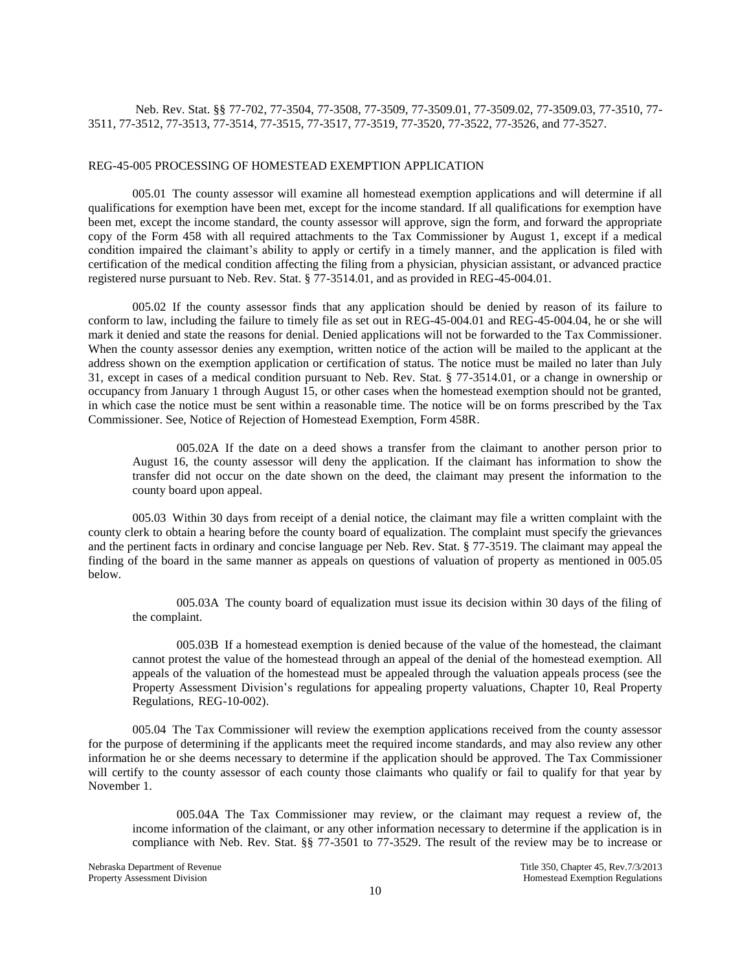## Neb. Rev. Stat. §§ 77-702, 77-3504, 77-3508, 77-3509, 77-3509.01, 77-3509.02, 77-3509.03, 77-3510, 77- 3511, 77-3512, 77-3513, 77-3514, 77-3515, 77-3517, 77-3519, 77-3520, 77-3522, 77-3526, and 77-3527.

#### REG-45-005 PROCESSING OF HOMESTEAD EXEMPTION APPLICATION

005.01 The county assessor will examine all homestead exemption applications and will determine if all qualifications for exemption have been met, except for the income standard. If all qualifications for exemption have been met, except the income standard, the county assessor will approve, sign the form, and forward the appropriate copy of the Form 458 with all required attachments to the Tax Commissioner by August 1, except if a medical condition impaired the claimant's ability to apply or certify in a timely manner, and the application is filed with certification of the medical condition affecting the filing from a physician, physician assistant, or advanced practice registered nurse pursuant to Neb. Rev. Stat. § 77-3514.01, and as provided in REG-45-004.01.

005.02 If the county assessor finds that any application should be denied by reason of its failure to conform to law, including the failure to timely file as set out in REG-45-004.01 and REG-45-004.04, he or she will mark it denied and state the reasons for denial. Denied applications will not be forwarded to the Tax Commissioner. When the county assessor denies any exemption, written notice of the action will be mailed to the applicant at the address shown on the exemption application or certification of status. The notice must be mailed no later than July 31, except in cases of a medical condition pursuant to Neb. Rev. Stat. § 77-3514.01, or a change in ownership or occupancy from January 1 through August 15, or other cases when the homestead exemption should not be granted, in which case the notice must be sent within a reasonable time. The notice will be on forms prescribed by the Tax Commissioner. See, Notice of Rejection of Homestead Exemption, Form 458R.

005.02A If the date on a deed shows a transfer from the claimant to another person prior to August 16, the county assessor will deny the application. If the claimant has information to show the transfer did not occur on the date shown on the deed, the claimant may present the information to the county board upon appeal.

005.03 Within 30 days from receipt of a denial notice, the claimant may file a written complaint with the county clerk to obtain a hearing before the county board of equalization. The complaint must specify the grievances and the pertinent facts in ordinary and concise language per Neb. Rev. Stat. § 77-3519. The claimant may appeal the finding of the board in the same manner as appeals on questions of valuation of property as mentioned in 005.05 below.

005.03A The county board of equalization must issue its decision within 30 days of the filing of the complaint.

005.03B If a homestead exemption is denied because of the value of the homestead, the claimant cannot protest the value of the homestead through an appeal of the denial of the homestead exemption. All appeals of the valuation of the homestead must be appealed through the valuation appeals process (see the Property Assessment Division's regulations for appealing property valuations, Chapter 10, Real Property Regulations, REG-10-002).

005.04 The Tax Commissioner will review the exemption applications received from the county assessor for the purpose of determining if the applicants meet the required income standards, and may also review any other information he or she deems necessary to determine if the application should be approved. The Tax Commissioner will certify to the county assessor of each county those claimants who qualify or fail to qualify for that year by November 1.

005.04A The Tax Commissioner may review, or the claimant may request a review of, the income information of the claimant, or any other information necessary to determine if the application is in compliance with Neb. Rev. Stat. §§ 77-3501 to 77-3529. The result of the review may be to increase or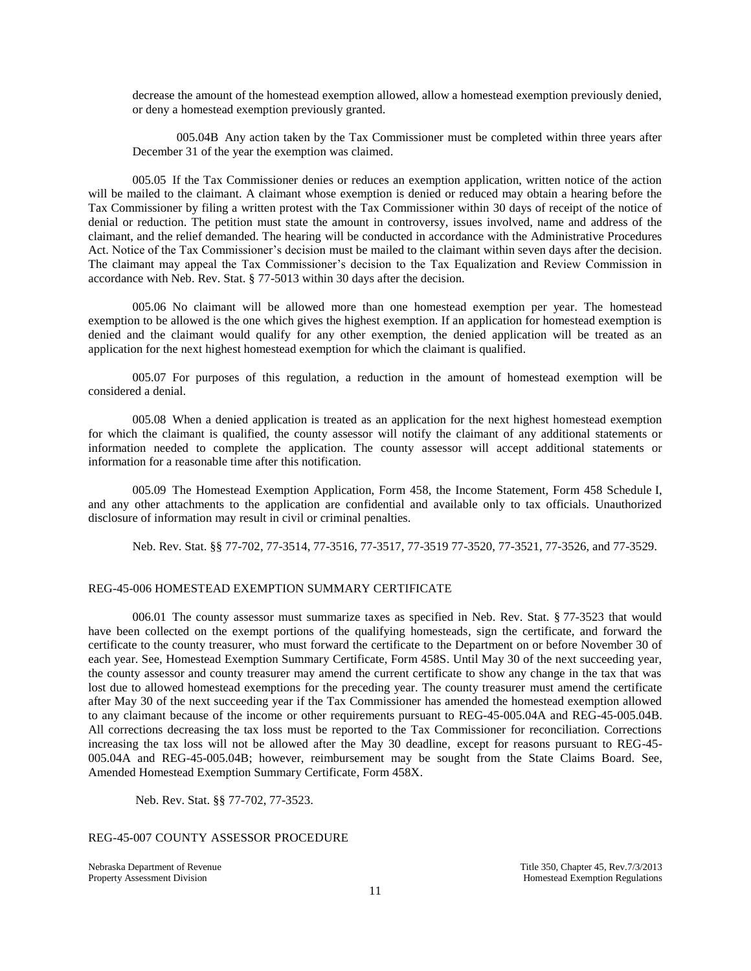decrease the amount of the homestead exemption allowed, allow a homestead exemption previously denied, or deny a homestead exemption previously granted.

005.04B Any action taken by the Tax Commissioner must be completed within three years after December 31 of the year the exemption was claimed.

005.05 If the Tax Commissioner denies or reduces an exemption application, written notice of the action will be mailed to the claimant. A claimant whose exemption is denied or reduced may obtain a hearing before the Tax Commissioner by filing a written protest with the Tax Commissioner within 30 days of receipt of the notice of denial or reduction. The petition must state the amount in controversy, issues involved, name and address of the claimant, and the relief demanded. The hearing will be conducted in accordance with the Administrative Procedures Act. Notice of the Tax Commissioner's decision must be mailed to the claimant within seven days after the decision. The claimant may appeal the Tax Commissioner's decision to the Tax Equalization and Review Commission in accordance with Neb. Rev. Stat. § 77-5013 within 30 days after the decision.

005.06 No claimant will be allowed more than one homestead exemption per year. The homestead exemption to be allowed is the one which gives the highest exemption. If an application for homestead exemption is denied and the claimant would qualify for any other exemption, the denied application will be treated as an application for the next highest homestead exemption for which the claimant is qualified.

005.07 For purposes of this regulation, a reduction in the amount of homestead exemption will be considered a denial.

005.08 When a denied application is treated as an application for the next highest homestead exemption for which the claimant is qualified, the county assessor will notify the claimant of any additional statements or information needed to complete the application. The county assessor will accept additional statements or information for a reasonable time after this notification.

005.09 The Homestead Exemption Application, Form 458, the Income Statement, Form 458 Schedule I, and any other attachments to the application are confidential and available only to tax officials. Unauthorized disclosure of information may result in civil or criminal penalties.

Neb. Rev. Stat. §§ 77-702, 77-3514, 77-3516, 77-3517, 77-3519 77-3520, 77-3521, 77-3526, and 77-3529.

#### REG-45-006 HOMESTEAD EXEMPTION SUMMARY CERTIFICATE

006.01 The county assessor must summarize taxes as specified in Neb. Rev. Stat. § 77-3523 that would have been collected on the exempt portions of the qualifying homesteads, sign the certificate, and forward the certificate to the county treasurer, who must forward the certificate to the Department on or before November 30 of each year. See, Homestead Exemption Summary Certificate, Form 458S. Until May 30 of the next succeeding year, the county assessor and county treasurer may amend the current certificate to show any change in the tax that was lost due to allowed homestead exemptions for the preceding year. The county treasurer must amend the certificate after May 30 of the next succeeding year if the Tax Commissioner has amended the homestead exemption allowed to any claimant because of the income or other requirements pursuant to REG-45-005.04A and REG-45-005.04B. All corrections decreasing the tax loss must be reported to the Tax Commissioner for reconciliation. Corrections increasing the tax loss will not be allowed after the May 30 deadline, except for reasons pursuant to REG-45- 005.04A and REG-45-005.04B; however, reimbursement may be sought from the State Claims Board. See, Amended Homestead Exemption Summary Certificate, Form 458X.

Neb. Rev. Stat. §§ 77-702, 77-3523.

## REG-45-007 COUNTY ASSESSOR PROCEDURE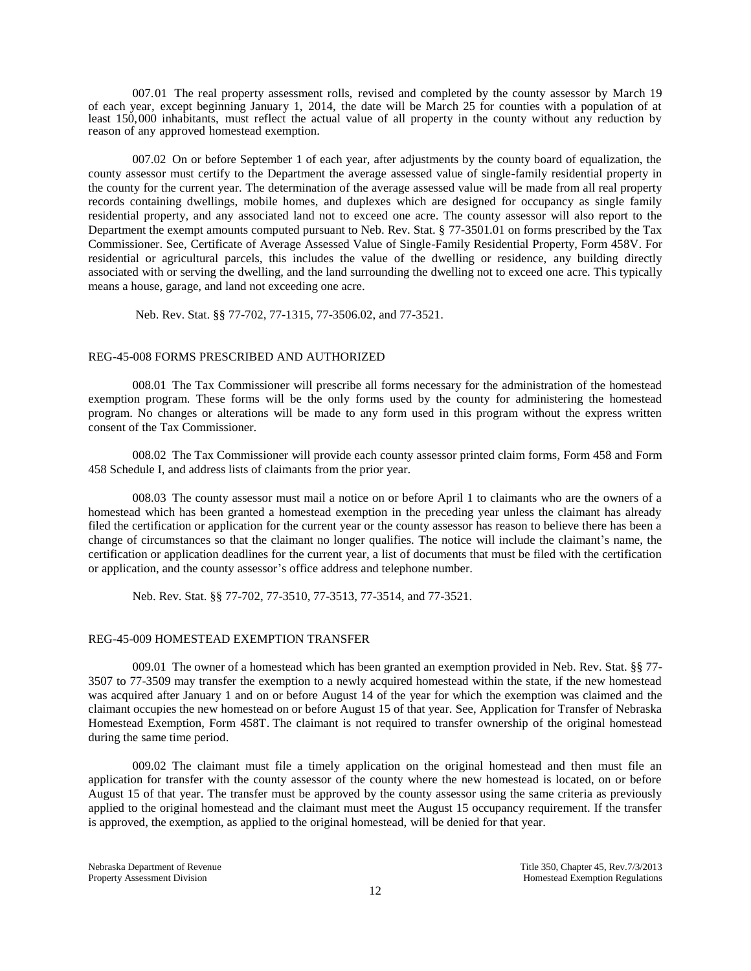007.01 The real property assessment rolls, revised and completed by the county assessor by March 19 of each year, except beginning January 1, 2014, the date will be March 25 for counties with a population of at least 150,000 inhabitants, must reflect the actual value of all property in the county without any reduction by reason of any approved homestead exemption.

007.02 On or before September 1 of each year, after adjustments by the county board of equalization, the county assessor must certify to the Department the average assessed value of single-family residential property in the county for the current year. The determination of the average assessed value will be made from all real property records containing dwellings, mobile homes, and duplexes which are designed for occupancy as single family residential property, and any associated land not to exceed one acre. The county assessor will also report to the Department the exempt amounts computed pursuant to Neb. Rev. Stat. § 77-3501.01 on forms prescribed by the Tax Commissioner. See, Certificate of Average Assessed Value of Single-Family Residential Property, Form 458V. For residential or agricultural parcels, this includes the value of the dwelling or residence, any building directly associated with or serving the dwelling, and the land surrounding the dwelling not to exceed one acre. This typically means a house, garage, and land not exceeding one acre.

Neb. Rev. Stat. §§ 77-702, 77-1315, 77-3506.02, and 77-3521.

#### REG-45-008 FORMS PRESCRIBED AND AUTHORIZED

008.01 The Tax Commissioner will prescribe all forms necessary for the administration of the homestead exemption program. These forms will be the only forms used by the county for administering the homestead program. No changes or alterations will be made to any form used in this program without the express written consent of the Tax Commissioner.

008.02 The Tax Commissioner will provide each county assessor printed claim forms, Form 458 and Form 458 Schedule I, and address lists of claimants from the prior year.

008.03 The county assessor must mail a notice on or before April 1 to claimants who are the owners of a homestead which has been granted a homestead exemption in the preceding year unless the claimant has already filed the certification or application for the current year or the county assessor has reason to believe there has been a change of circumstances so that the claimant no longer qualifies. The notice will include the claimant's name, the certification or application deadlines for the current year, a list of documents that must be filed with the certification or application, and the county assessor's office address and telephone number.

Neb. Rev. Stat. §§ 77-702, 77-3510, 77-3513, 77-3514, and 77-3521.

#### REG-45-009 HOMESTEAD EXEMPTION TRANSFER

009.01 The owner of a homestead which has been granted an exemption provided in Neb. Rev. Stat. §§ 77- 3507 to 77-3509 may transfer the exemption to a newly acquired homestead within the state, if the new homestead was acquired after January 1 and on or before August 14 of the year for which the exemption was claimed and the claimant occupies the new homestead on or before August 15 of that year. See, Application for Transfer of Nebraska Homestead Exemption, Form 458T. The claimant is not required to transfer ownership of the original homestead during the same time period.

009.02 The claimant must file a timely application on the original homestead and then must file an application for transfer with the county assessor of the county where the new homestead is located, on or before August 15 of that year. The transfer must be approved by the county assessor using the same criteria as previously applied to the original homestead and the claimant must meet the August 15 occupancy requirement. If the transfer is approved, the exemption, as applied to the original homestead, will be denied for that year.